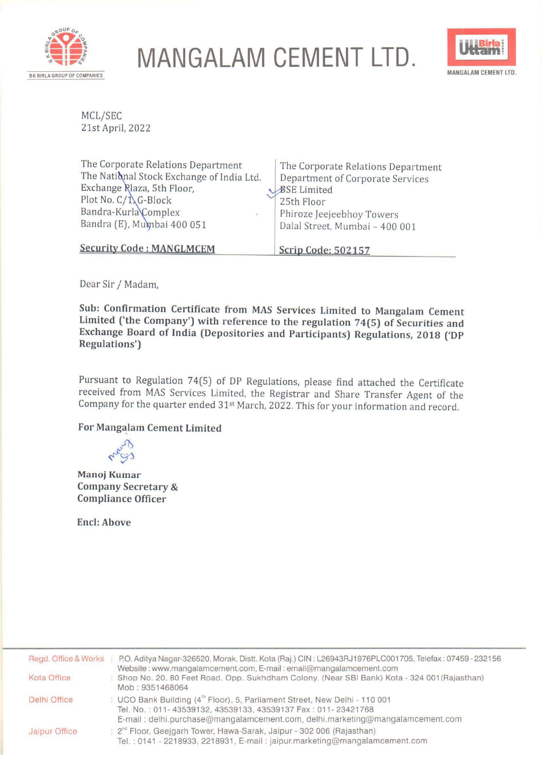

**MANGALAM CEMENT LTD. LUttami** 



MCL/SEC 21st April, 2022

| The Corporate Relations Department        | The Corporate Relations Department |
|-------------------------------------------|------------------------------------|
| The National Stock Exchange of India Ltd. | Department of Corporate Services   |
| Exchange Rlaza, 5th Floor,                | BSE Limited                        |
| Plot No. $C/1$ <sub>b</sub> G-Block       | 25th Floor                         |
| Bandra-KurlaComplex                       | Phiroze Jeejeebhoy Towers          |
| Bandra (E), Mumbai 400 051                | Dalal Street, Mumbai - 400 001     |
| <b>Security Code: MANGLMCEM</b>           | <b>Scrip Code: 502157</b>          |

Dear Sir/ Madam,

**Sub: Confirmation Certificate from MAS Services Limited to Mangalam Cement Limited ('the Company') with reference to the regulation 74(5) of Securities and Exchange Board of India (Depositories and Participants) Regulations, 2018 ('DP Regulations')** 

Pursuant to Regulation 74(5) of DP Regulations, please find attached the Certificate received from MAS Services Limited, the Registrar and Share Transfer Agent of the Company for the quarter ended 31st March, 2022. This for your information and record.

## **For Mangalam Cement Limited**

**Manoj Kumar Company Secretary** & **Compliance Officer** 

**Encl: Above** 

| Regd. Office & Works : | P.O. Aditya Nagar-326520, Morak, Distt. Kota (Raj.) CIN : L26943RJ1976PLC001705, Telefax : 07459 - 232156                                                                                                                               |
|------------------------|-----------------------------------------------------------------------------------------------------------------------------------------------------------------------------------------------------------------------------------------|
| Kota Office            | Website: www.mangalamcement.com, E-mail: email@mangalamcement.com<br>: Shop No. 20, 80 Feet Road, Opp. Sukhdham Colony. (Near SBI Bank) Kota - 324 001 (Rajasthan)<br>Mob: 9351468064                                                   |
| Delhi Office           | : UCO Bank Building (4 <sup>th</sup> Floor), 5, Parliament Street, New Delhi - 110 001<br>Tel. No.: 011-43539132, 43539133, 43539137 Fax: 011-23421768<br>E-mail: delhi.purchase@mangalamcement.com, delhi.marketing@mangalamcement.com |
| Jaipur Office          | : 2 <sup>nd</sup> Floor, Geejgarh Tower, Hawa-Sarak, Jaipur - 302 006 (Rajasthan)<br>Tel.: 0141 - 2218933, 2218931, E-mail: jaipur.marketing@mangalamcement.com                                                                         |